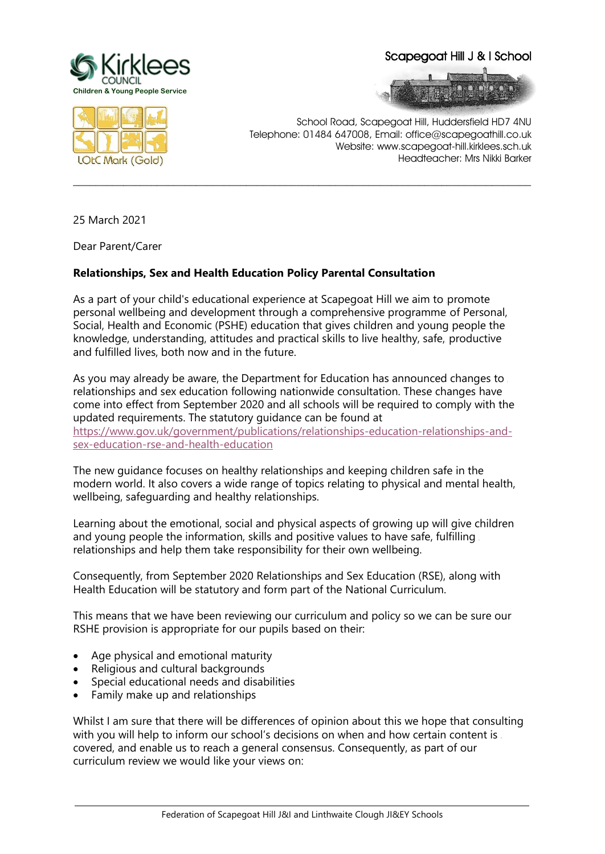

Scapegoat Hill J & I School





School Road, Scapegoat Hill, Huddersfield HD7 4NU Telephone: 01484 647008, Email: office@scapegoathill.co.uk Website: www.scapegoat-hill.kirklees.sch.uk Headteacher: Mrs Nikki Barker

25 March 2021

Dear Parent/Carer

## **Relationships, Sex and Health Education Policy Parental Consultation**

As a part of your child's educational experience at Scapegoat Hill we aim to promote personal wellbeing and development through a comprehensive programme of Personal, Social, Health and Economic (PSHE) education that gives children and young people the knowledge, understanding, attitudes and practical skills to live healthy, safe, productive and fulfilled lives, both now and in the future.

**\_\_\_\_\_\_\_\_\_\_\_\_\_\_\_\_\_\_\_\_\_\_\_\_\_\_\_\_\_\_\_\_\_\_\_\_\_\_\_\_\_\_\_\_\_\_\_\_\_\_\_\_\_\_\_\_\_\_\_\_\_\_\_\_\_\_\_\_\_\_\_\_\_\_\_\_\_\_\_\_\_\_**

As you may already be aware, the Department for Education has announced changes to relationships and sex education following nationwide consultation. These changes have come into effect from September 2020 and all schools will be required to comply with the updated requirements. The statutory guidance can be found at [https://www.gov.uk/government/publications/relationships-education-relationships-and](https://www.gov.uk/government/publications/relationships-education-relationships-and-sex-education-rse-and-health-education)[sex-education-rse-and-health-education](https://www.gov.uk/government/publications/relationships-education-relationships-and-sex-education-rse-and-health-education)

The new guidance focuses on healthy relationships and keeping children safe in the modern world. It also covers a wide range of topics relating to physical and mental health, wellbeing, safeguarding and healthy relationships.

Learning about the emotional, social and physical aspects of growing up will give children and young people the information, skills and positive values to have safe, fulfilling relationships and help them take responsibility for their own wellbeing.

Consequently, from September 2020 Relationships and Sex Education (RSE), along with Health Education will be statutory and form part of the National Curriculum.

This means that we have been reviewing our curriculum and policy so we can be sure our RSHE provision is appropriate for our pupils based on their:

- Age physical and emotional maturity
- Religious and cultural backgrounds
- Special educational needs and disabilities
- Family make up and relationships

Whilst I am sure that there will be differences of opinion about this we hope that consulting with you will help to inform our school's decisions on when and how certain content is covered, and enable us to reach a general consensus. Consequently, as part of our curriculum review we would like your views on: